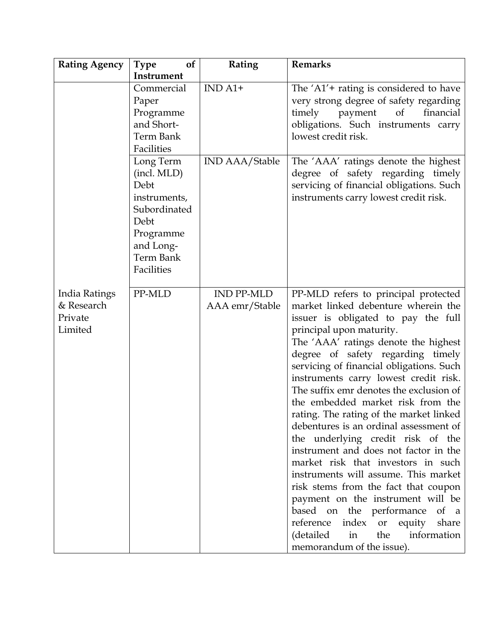| <b>Rating Agency</b>                              | <b>Type</b><br><b>of</b>                                                                                                      | Rating                              | <b>Remarks</b>                                                                                                                                                                                                                                                                                                                                                                                                                                                                                                                                                                                                                                                                                                                                                                                                                                                                 |
|---------------------------------------------------|-------------------------------------------------------------------------------------------------------------------------------|-------------------------------------|--------------------------------------------------------------------------------------------------------------------------------------------------------------------------------------------------------------------------------------------------------------------------------------------------------------------------------------------------------------------------------------------------------------------------------------------------------------------------------------------------------------------------------------------------------------------------------------------------------------------------------------------------------------------------------------------------------------------------------------------------------------------------------------------------------------------------------------------------------------------------------|
|                                                   | Instrument                                                                                                                    |                                     |                                                                                                                                                                                                                                                                                                                                                                                                                                                                                                                                                                                                                                                                                                                                                                                                                                                                                |
|                                                   | Commercial<br>Paper<br>Programme<br>and Short-<br>Term Bank<br>Facilities                                                     | $IND A1+$                           | The $'A1'$ + rating is considered to have<br>very strong degree of safety regarding<br>timely<br>payment<br>of<br>financial<br>obligations. Such instruments carry<br>lowest credit risk.                                                                                                                                                                                                                                                                                                                                                                                                                                                                                                                                                                                                                                                                                      |
|                                                   | Long Term<br>(incl. MLD)<br>Debt<br>instruments,<br>Subordinated<br>Debt<br>Programme<br>and Long-<br>Term Bank<br>Facilities | <b>IND AAA/Stable</b>               | The 'AAA' ratings denote the highest<br>degree of safety regarding timely<br>servicing of financial obligations. Such<br>instruments carry lowest credit risk.                                                                                                                                                                                                                                                                                                                                                                                                                                                                                                                                                                                                                                                                                                                 |
| India Ratings<br>& Research<br>Private<br>Limited | PP-MLD                                                                                                                        | <b>IND PP-MLD</b><br>AAA emr/Stable | PP-MLD refers to principal protected<br>market linked debenture wherein the<br>issuer is obligated to pay the full<br>principal upon maturity.<br>The 'AAA' ratings denote the highest<br>degree of safety regarding timely<br>servicing of financial obligations. Such<br>instruments carry lowest credit risk.<br>The suffix emr denotes the exclusion of<br>the embedded market risk from the<br>rating. The rating of the market linked<br>debentures is an ordinal assessment of<br>the underlying credit risk of the<br>instrument and does not factor in the<br>market risk that investors in such<br>instruments will assume. This market<br>risk stems from the fact that coupon<br>payment on the instrument will be<br>based on the performance of a<br>reference<br>index or equity<br>share<br>(detailed<br>the<br>information<br>in<br>memorandum of the issue). |